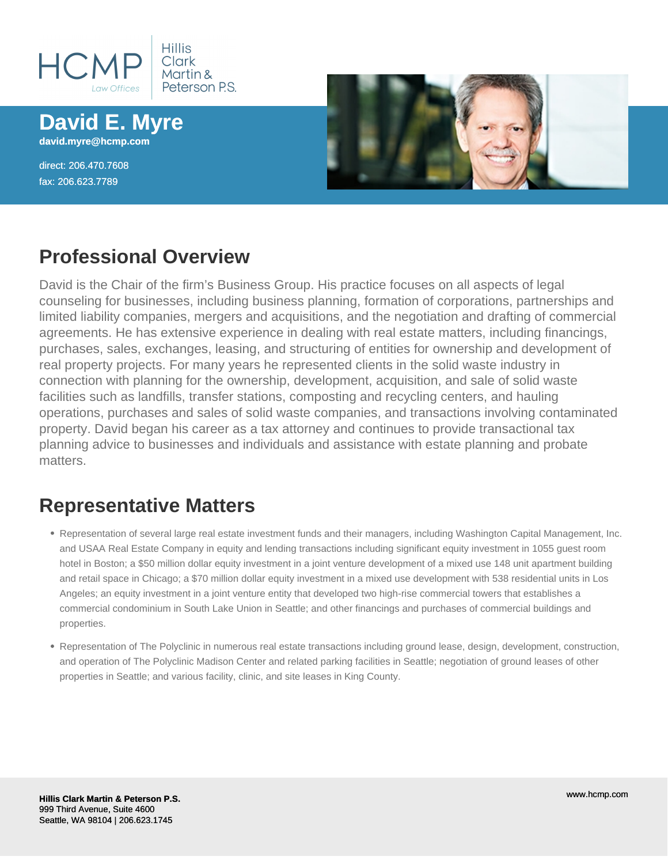

**David E. Myre david.myre@hcmp.com**

direct: 206.470.7608 fax: 206.623.7789



### **Professional Overview**

David is the Chair of the firm's Business Group. His practice focuses on all aspects of legal counseling for businesses, including business planning, formation of corporations, partnerships and limited liability companies, mergers and acquisitions, and the negotiation and drafting of commercial agreements. He has extensive experience in dealing with real estate matters, including financings, purchases, sales, exchanges, leasing, and structuring of entities for ownership and development of real property projects. For many years he represented clients in the solid waste industry in connection with planning for the ownership, development, acquisition, and sale of solid waste facilities such as landfills, transfer stations, composting and recycling centers, and hauling operations, purchases and sales of solid waste companies, and transactions involving contaminated property. David began his career as a tax attorney and continues to provide transactional tax planning advice to businesses and individuals and assistance with estate planning and probate matters.

# **Representative Matters**

- Representation of several large real estate investment funds and their managers, including Washington Capital Management, Inc. and USAA Real Estate Company in equity and lending transactions including significant equity investment in 1055 guest room hotel in Boston; a \$50 million dollar equity investment in a joint venture development of a mixed use 148 unit apartment building and retail space in Chicago; a \$70 million dollar equity investment in a mixed use development with 538 residential units in Los Angeles; an equity investment in a joint venture entity that developed two high-rise commercial towers that establishes a commercial condominium in South Lake Union in Seattle; and other financings and purchases of commercial buildings and properties.
- Representation of The Polyclinic in numerous real estate transactions including ground lease, design, development, construction, and operation of The Polyclinic Madison Center and related parking facilities in Seattle; negotiation of ground leases of other properties in Seattle; and various facility, clinic, and site leases in King County.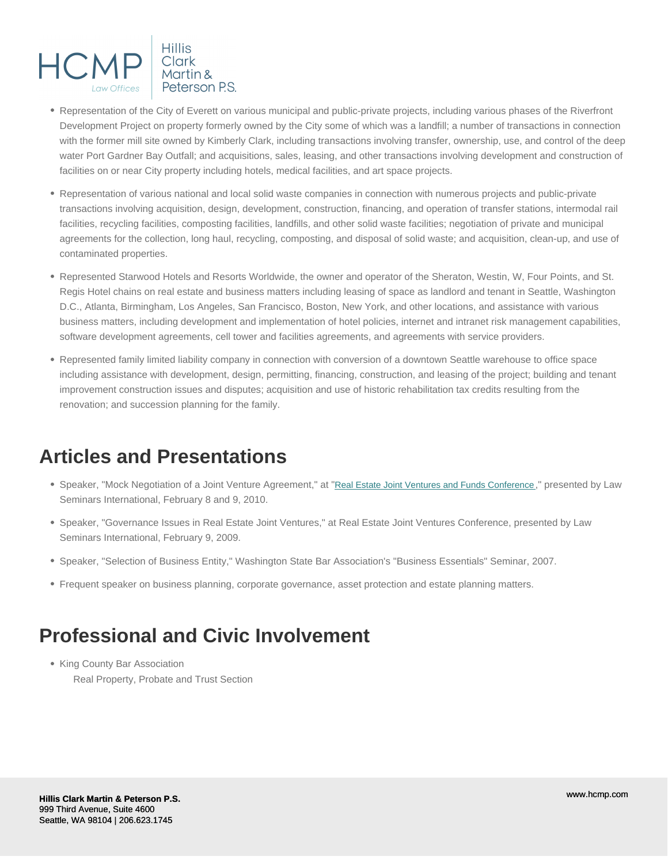- Representation of the City of Everett on various municipal and public-private projects, including various phases of the Riverfront Development Project on property formerly owned by the City some of which was a landfill; a number of transactions in connection with the former mill site owned by Kimberly Clark, including transactions involving transfer, ownership, use, and control of the deep water Port Gardner Bay Outfall; and acquisitions, sales, leasing, and other transactions involving development and construction of facilities on or near City property including hotels, medical facilities, and art space projects.
- Representation of various national and local solid waste companies in connection with numerous projects and public-private transactions involving acquisition, design, development, construction, financing, and operation of transfer stations, intermodal rail facilities, recycling facilities, composting facilities, landfills, and other solid waste facilities; negotiation of private and municipal agreements for the collection, long haul, recycling, composting, and disposal of solid waste; and acquisition, clean-up, and use of contaminated properties.
- Represented Starwood Hotels and Resorts Worldwide, the owner and operator of the Sheraton, Westin, W, Four Points, and St. Regis Hotel chains on real estate and business matters including leasing of space as landlord and tenant in Seattle, Washington D.C., Atlanta, Birmingham, Los Angeles, San Francisco, Boston, New York, and other locations, and assistance with various business matters, including development and implementation of hotel policies, internet and intranet risk management capabilities, software development agreements, cell tower and facilities agreements, and agreements with service providers.
- Represented family limited liability company in connection with conversion of a downtown Seattle warehouse to office space including assistance with development, design, permitting, financing, construction, and leasing of the project; building and tenant improvement construction issues and disputes; acquisition and use of historic rehabilitation tax credits resulting from the renovation; and succession planning for the family.

#### Articles and Presentations

- Speaker, "Mock Negotiation of a Joint Venture Agreement," at "[Real Estate Joint Ventures and Funds Conference](http://www.lawseminars.com/detail.php?SeminarCode=10REJVWA)," presented by Law Seminars International, February 8 and 9, 2010.
- Speaker, "Governance Issues in Real Estate Joint Ventures," at Real Estate Joint Ventures Conference, presented by Law Seminars International, February 9, 2009.
- Speaker, "Selection of Business Entity," Washington State Bar Association's "Business Essentials" Seminar, 2007.
- Frequent speaker on business planning, corporate governance, asset protection and estate planning matters.

### Professional and Civic Involvement

• King County Bar Association Real Property, Probate and Trust Section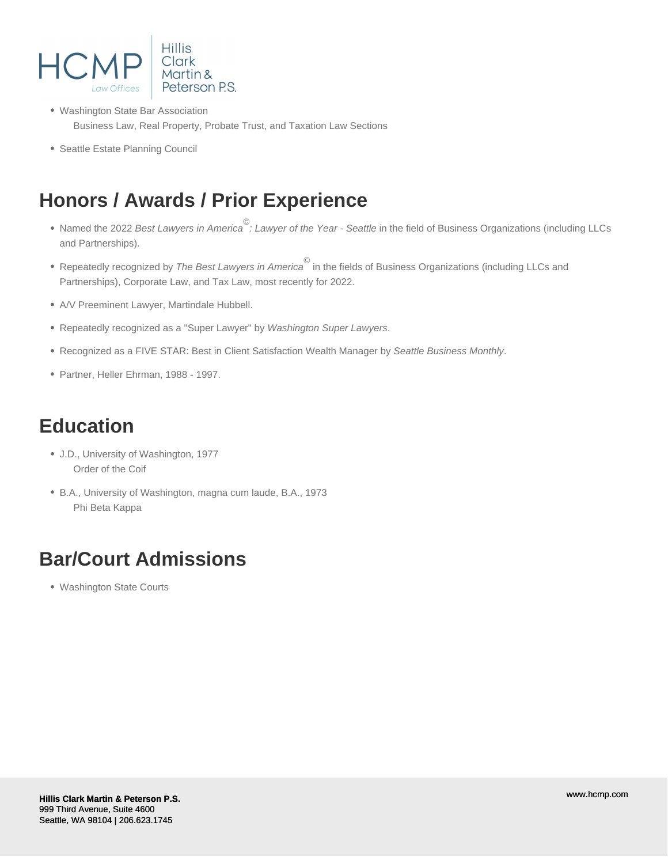

- Washington State Bar Association Business Law, Real Property, Probate Trust, and Taxation Law Sections
- Seattle Estate Planning Council

# **Honors / Awards / Prior Experience**

- Named the 2022 Best Lawyers in America<sup>©</sup>: Lawyer of the Year Seattle in the field of Business Organizations (including LLCs and Partnerships).
- Repeatedly recognized by *The Best Lawyers in America*<sup>©</sup> in the fields of Business Organizations (including LLCs and Partnerships), Corporate Law, and Tax Law, most recently for 2022.
- A/V Preeminent Lawyer, Martindale Hubbell.
- Repeatedly recognized as a "Super Lawyer" by Washington Super Lawyers.
- Recognized as a FIVE STAR: Best in Client Satisfaction Wealth Manager by Seattle Business Monthly.
- Partner, Heller Ehrman, 1988 1997.

### **Education**

- J.D., University of Washington, 1977 Order of the Coif
- B.A., University of Washington, magna cum laude, B.A., 1973 Phi Beta Kappa

# **Bar/Court Admissions**

Washington State Courts